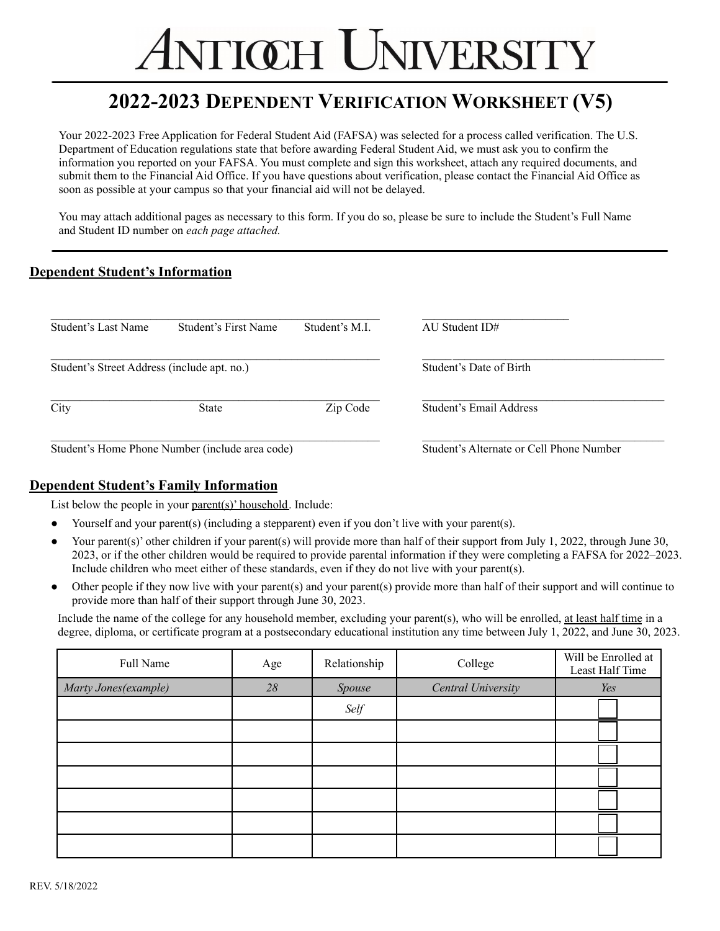# **TIŒH UNIVERSITY**

### **2022-2023 DEPENDENT VERIFICATION WORKSHEET (V5)**

Your 2022-2023 Free Application for Federal Student Aid (FAFSA) was selected for a process called verification. The U.S. Department of Education regulations state that before awarding Federal Student Aid, we must ask you to confirm the information you reported on your FAFSA. You must complete and sign this worksheet, attach any required documents, and submit them to the Financial Aid Office. If you have questions about verification, please contact the Financial Aid Office as soon as possible at your campus so that your financial aid will not be delayed.

You may attach additional pages as necessary to this form. If you do so, please be sure to include the Student's Full Name and Student ID number on *each page attached.*

#### **Dependent Student's Information**

| Student's Last Name                         | Student's First Name                            | Student's M.I.                           | AU Student $ID#$        |
|---------------------------------------------|-------------------------------------------------|------------------------------------------|-------------------------|
| Student's Street Address (include apt. no.) |                                                 | Student's Date of Birth                  |                         |
| City                                        | <b>State</b>                                    | Zip Code                                 | Student's Email Address |
|                                             | Student's Home Phone Number (include area code) | Student's Alternate or Cell Phone Number |                         |

#### **Dependent Student's Family Information**

List below the people in your parent(s)' household. Include:

- Yourself and your parent(s) (including a stepparent) even if you don't live with your parent(s).
- Your parent(s)' other children if your parent(s) will provide more than half of their support from July 1, 2022, through June 30, 2023, or if the other children would be required to provide parental information if they were completing a FAFSA for 2022–2023. Include children who meet either of these standards, even if they do not live with your parent(s).
- Other people if they now live with your parent(s) and your parent(s) provide more than half of their support and will continue to provide more than half of their support through June 30, 2023.

Include the name of the college for any household member, excluding your parent(s), who will be enrolled, at least half time in a degree, diploma, or certificate program at a postsecondary educational institution any time between July 1, 2022, and June 30, 2023.

| Full Name             | Age    | Relationship | College            | Will be Enrolled at<br>Least Half Time |
|-----------------------|--------|--------------|--------------------|----------------------------------------|
| Marty Jones (example) | $28\,$ | Spouse       | Central University | Yes                                    |
|                       |        | Self         |                    |                                        |
|                       |        |              |                    |                                        |
|                       |        |              |                    |                                        |
|                       |        |              |                    |                                        |
|                       |        |              |                    |                                        |
|                       |        |              |                    |                                        |
|                       |        |              |                    |                                        |